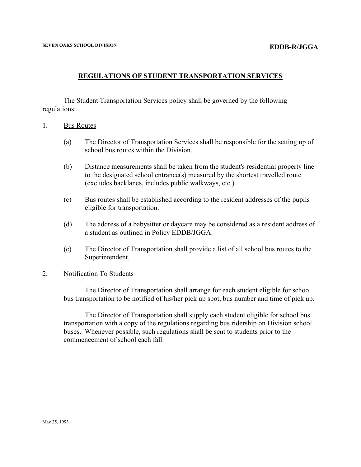# **REGULATIONS OF STUDENT TRANSPORTATION SERVICES**

The Student Transportation Services policy shall be governed by the following regulations:

- 1. Bus Routes
	- (a) The Director of Transportation Services shall be responsible for the setting up of school bus routes within the Division.
	- (b) Distance measurements shall be taken from the student's residential property line to the designated school entrance(s) measured by the shortest travelled route (excludes backlanes, includes public walkways, etc.).
	- (c) Bus routes shall be established according to the resident addresses of the pupils eligible for transportation.
	- (d) The address of a babysitter or daycare may be considered as a resident address of a student as outlined in Policy EDDB/JGGA.
	- (e) The Director of Transportation shall provide a list of all school bus routes to the Superintendent.

### 2. Notification To Students

The Director of Transportation shall arrange for each student eligible for school bus transportation to be notified of his/her pick up spot, bus number and time of pick up.

The Director of Transportation shall supply each student eligible for school bus transportation with a copy of the regulations regarding bus ridership on Division school buses. Whenever possible, such regulations shall be sent to students prior to the commencement of school each fall.